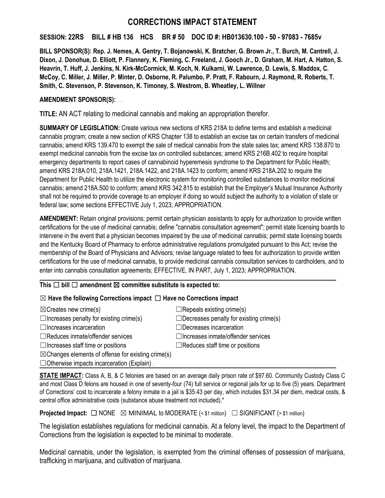# **CORRECTIONS IMPACT STATEMENT**

**SESSION: 22RS BILL # HB 136 HCS** . **BR # 50 DOC ID #: HB013630.100 - 50 - 97083 - 7685v**

**BILL SPONSOR(S): Rep. J. Nemes, A. Gentry, T. Bojanowski, K. Bratcher, G. Brown Jr., T. Burch, M. Cantrell, J. Dixon, J. Donohue, D. Elliott, P. Flannery, K. Fleming, C. Freeland, J. Gooch Jr., D. Graham, M. Hart, A. Hatton, S. Heavrin, T. Huff, J. Jenkins, N. Kirk-McCormick, M. Koch, N. Kulkarni, W. Lawrence, D. Lewis, S. Maddox, C. McCoy, C. Miller, J. Miller, P. Minter, D. Osborne, R. Palumbo, P. Pratt, F. Rabourn, J. Raymond, R. Roberts, T. Smith, C. Stevenson, P. Stevenson, K. Timoney, S. Westrom, B. Wheatley, L. Willner**

# **AMENDMENT SPONSOR(S):** . .

**TITLE:** AN ACT relating to medicinal cannabis and making an appropriation therefor.

**SUMMARY OF LEGISLATION:** Create various new sections of KRS 218A to define terms and establish a medicinal cannabis program; create a new section of KRS Chapter 138 to establish an excise tax on certain transfers of medicinal cannabis; amend KRS 139.470 to exempt the sale of medical cannabis from the state sales tax; amend KRS 138.870 to exempt medicinal cannabis from the excise tax on controlled substances; amend KRS 216B.402 to require hospital emergency departments to report cases of cannabinoid hyperemesis syndrome to the Department for Public Health; amend KRS 218A.010, 218A.1421, 218A.1422, and 218A.1423 to conform; amend KRS 218A.202 to require the Department for Public Health to utilize the electronic system for monitoring controlled substances to monitor medicinal cannabis; amend 218A.500 to conform; amend KRS 342.815 to establish that the Employer's Mutual Insurance Authority shall not be required to provide coverage to an employer if doing so would subject the authority to a violation of state or federal law; some sections EFFECTIVE July 1, 2023; APPROPRIATION.

**AMENDMENT:** Retain original provisions; permit certain physician assistants to apply for authorization to provide written certifications for the use of medicinal cannabis; define "cannabis consultation agreement"; permit state licensing boards to intervene in the event that a physician becomes impaired by the use of medicinal cannabis; permit state licensing boards and the Kentucky Board of Pharmacy to enforce administrative regulations promulgated pursuant to this Act; revise the membership of the Board of Physicians and Advisors; revise language related to fees for authorization to provide written certifications for the use of medicinal cannabis, to provide medicinal cannabis consultation services to cardholders, and to enter into cannabis consultation agreements; EFFECTIVE, IN PART, July 1, 2023; APPROPRIATION.

## **This** ☐ **bill** ☐ **amendment** ☒ **committee substitute is expected to:**

# ☒ **Have the following Corrections impact** ☐ **Have no Corrections impact**

| $\boxtimes$ Creates new crime(s)                              | $\Box$ Repeals existing crime(s)               |
|---------------------------------------------------------------|------------------------------------------------|
| $\Box$ Increases penalty for existing crime(s)                | $\Box$ Decreases penalty for existing crime(s) |
| $\Box$ Increases incarceration                                | $\Box$ Decreases incarceration                 |
| $\Box$ Reduces inmate/offender services                       | $\Box$ Increases inmate/offender services      |
| $\Box$ Increases staff time or positions                      | $\Box$ Reduces staff time or positions         |
| $\boxtimes$ Changes elements of offense for existing crime(s) |                                                |
| $\Box$ Otherwise impacts incarceration (Explain).             |                                                |

**STATE IMPACT:** Class A, B, & C felonies are based on an average daily prison rate of \$97.60. Community Custody Class C and most Class D felons are housed in one of seventy-four (74) full service or regional jails for up to five (5) years. Department of Corrections' cost to incarcerate a felony inmate in a jail is \$35.43 per day, which includes \$31.34 per diem, medical costs, & central office administrative costs (substance abuse treatment not included).\*

**Projected Impact:**  $\Box$  NONE  $\boxtimes$  MINIMAL to MODERATE (< \$1 million)  $\Box$  SIGNIFICANT (> \$1 million)

The legislation establishes regulations for medicinal cannabis. At a felony level, the impact to the Department of Corrections from the legislation is expected to be minimal to moderate.

Medicinal cannabis, under the legislation, is exempted from the criminal offenses of possession of marijuana, trafficking in marijuana, and cultivation of marijuana.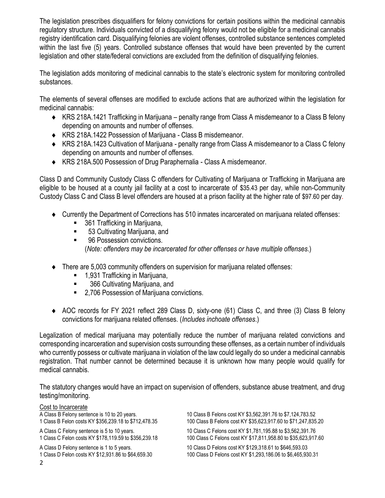The legislation prescribes disqualifiers for felony convictions for certain positions within the medicinal cannabis regulatory structure. Individuals convicted of a disqualifying felony would not be eligible for a medicinal cannabis registry identification card. Disqualifying felonies are violent offenses, controlled substance sentences completed within the last five (5) years. Controlled substance offenses that would have been prevented by the current legislation and other state/federal convictions are excluded from the definition of disqualifying felonies.

The legislation adds monitoring of medicinal cannabis to the state's electronic system for monitoring controlled substances.

The elements of several offenses are modified to exclude actions that are authorized within the legislation for medicinal cannabis:

- KRS 218A.1421 Trafficking in Marijuana penalty range from Class A misdemeanor to a Class B felony depending on amounts and number of offenses.
- KRS 218A.1422 Possession of Marijuana Class B misdemeanor.
- KRS 218A.1423 Cultivation of Marijuana penalty range from Class A misdemeanor to a Class C felony depending on amounts and number of offenses.
- KRS 218A.500 Possession of Drug Paraphernalia Class A misdemeanor.

Class D and Community Custody Class C offenders for Cultivating of Marijuana or Trafficking in Marijuana are eligible to be housed at a county jail facility at a cost to incarcerate of \$35.43 per day, while non-Community Custody Class C and Class B level offenders are housed at a prison facility at the higher rate of \$97.60 per day.

- Currently the Department of Corrections has 510 inmates incarcerated on marijuana related offenses:
	- 361 Trafficking in Marijuana,
	- 53 Cultivating Marijuana, and
	- 96 Possession convictions. (*Note: offenders may be incarcerated for other offenses or have multiple offenses*.)
- There are 5,003 community offenders on supervision for marijuana related offenses:
	- 1,931 Trafficking in Marijuana,
	- 366 Cultivating Marijuana, and
	- 2,706 Possession of Marijuana convictions.
- AOC records for FY 2021 reflect 289 Class D, sixty-one (61) Class C, and three (3) Class B felony convictions for marijuana related offenses. (*Includes inchoate offenses*.)

Legalization of medical marijuana may potentially reduce the number of marijuana related convictions and corresponding incarceration and supervision costs surrounding these offenses, as a certain number of individuals who currently possess or cultivate marijuana in violation of the law could legally do so under a medicinal cannabis registration. That number cannot be determined because it is unknown how many people would qualify for medical cannabis.

The statutory changes would have an impact on supervision of offenders, substance abuse treatment, and drug testing/monitoring.

2 Cost to Incarcerate A Class B Felony sentence is 10 to 20 years. 10 Class B Felons cost KY \$3,562,391.76 to \$7,124,783.52 1 Class B Felon costs KY \$356,239.18 to \$712,478.35 100 Class B Felons cost KY \$35,623,917.60 to \$71,247,835.20 A Class C Felony sentence is 5 to 10 years. 10 Class C Felons cost KY \$1,781,195.88 to \$3,562,391.76 1 Class C Felon costs KY \$178,119.59 to \$356,239.18 100 Class C Felons cost KY \$17,811,958.80 to \$35,623,917.60 A Class D Felony sentence is 1 to 5 years. 10 Class D Felons cost KY \$129,318.61 to \$646,593.03 1 Class D Felon costs KY \$12,931.86 to \$64,659.30 100 Class D Felons cost KY \$1,293,186.06 to \$6,465,930.31